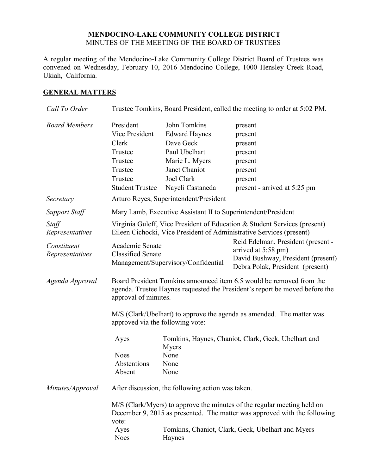## **MENDOCINO-LAKE COMMUNITY COLLEGE DISTRICT** MINUTES OF THE MEETING OF THE BOARD OF TRUSTEES

A regular meeting of the Mendocino-Lake Community College District Board of Trustees was convened on Wednesday, February 10, 2016 Mendocino College, 1000 Hensley Creek Road, Ukiah, California.

# **GENERAL MATTERS**

| Call To Order                                              | Trustee Tomkins, Board President, called the meeting to order at 5:02 PM.                                                                                                                                                               |                                                                                                                                                                                                                              |                                                                                                                                     |  |  |
|------------------------------------------------------------|-----------------------------------------------------------------------------------------------------------------------------------------------------------------------------------------------------------------------------------------|------------------------------------------------------------------------------------------------------------------------------------------------------------------------------------------------------------------------------|-------------------------------------------------------------------------------------------------------------------------------------|--|--|
| <b>Board Members</b>                                       | President<br>Vice President<br>Clerk<br>Trustee<br>Trustee<br>Trustee<br>Trustee<br><b>Student Trustee</b>                                                                                                                              | John Tomkins<br><b>Edward Haynes</b><br>Dave Geck<br>Paul Ubelhart<br>Marie L. Myers<br>Janet Chaniot<br>Joel Clark<br>Nayeli Castaneda                                                                                      | present<br>present<br>present<br>present<br>present<br>present<br>present<br>present - arrived at 5:25 pm                           |  |  |
| Secretary                                                  | Arturo Reyes, Superintendent/President                                                                                                                                                                                                  |                                                                                                                                                                                                                              |                                                                                                                                     |  |  |
| <b>Support Staff</b>                                       | Mary Lamb, Executive Assistant II to Superintendent/President                                                                                                                                                                           |                                                                                                                                                                                                                              |                                                                                                                                     |  |  |
| Staff<br>Representatives<br>Constituent<br>Representatives | Virginia Guleff, Vice President of Education & Student Services (present)<br>Eileen Cichocki, Vice President of Administrative Services (present)<br>Academic Senate<br><b>Classified Senate</b><br>Management/Supervisory/Confidential |                                                                                                                                                                                                                              | Reid Edelman, President (present -<br>arrived at 5:58 pm)<br>David Bushway, President (present)<br>Debra Polak, President (present) |  |  |
| Agenda Approval                                            | approval of minutes.                                                                                                                                                                                                                    | Board President Tomkins announced item 6.5 would be removed from the<br>agenda. Trustee Haynes requested the President's report be moved before the<br>M/S (Clark/Ubelhart) to approve the agenda as amended. The matter was |                                                                                                                                     |  |  |
|                                                            | approved via the following vote:                                                                                                                                                                                                        |                                                                                                                                                                                                                              |                                                                                                                                     |  |  |
|                                                            | Ayes<br><b>Noes</b><br>Abstentions<br>Absent                                                                                                                                                                                            | Myers<br>None<br>None<br>None                                                                                                                                                                                                | Tomkins, Haynes, Chaniot, Clark, Geck, Ubelhart and                                                                                 |  |  |
| Minutes/Approval                                           | After discussion, the following action was taken.                                                                                                                                                                                       |                                                                                                                                                                                                                              |                                                                                                                                     |  |  |
|                                                            | M/S (Clark/Myers) to approve the minutes of the regular meeting held on<br>December 9, 2015 as presented. The matter was approved with the following<br>vote:<br>Tomkins, Chaniot, Clark, Geck, Ubelhart and Myers<br>Ayes              |                                                                                                                                                                                                                              |                                                                                                                                     |  |  |
|                                                            | <b>Noes</b>                                                                                                                                                                                                                             | Haynes                                                                                                                                                                                                                       |                                                                                                                                     |  |  |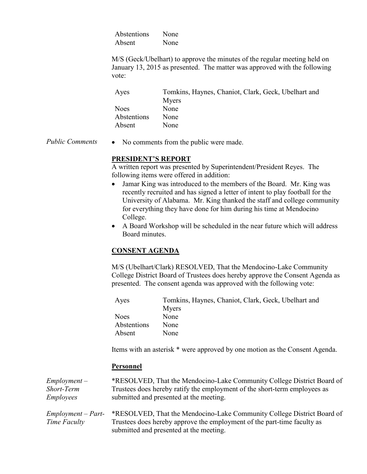Abstentions None Absent None

M/S (Geck/Ubelhart) to approve the minutes of the regular meeting held on January 13, 2015 as presented. The matter was approved with the following vote:

| Ayes        | Tomkins, Haynes, Chaniot, Clark, Geck, Ubelhart and |
|-------------|-----------------------------------------------------|
|             | Myers                                               |
| <b>Noes</b> | None                                                |
| Abstentions | None                                                |
| Absent      | None                                                |

*Public Comments* • No comments from the public were made.

## **PRESIDENT'S REPORT**

A written report was presented by Superintendent/President Reyes. The following items were offered in addition:

- Jamar King was introduced to the members of the Board. Mr. King was recently recruited and has signed a letter of intent to play football for the University of Alabama. Mr. King thanked the staff and college community for everything they have done for him during his time at Mendocino College.
- A Board Workshop will be scheduled in the near future which will address Board minutes.

# **CONSENT AGENDA**

M/S (Ubelhart/Clark) RESOLVED, That the Mendocino-Lake Community College District Board of Trustees does hereby approve the Consent Agenda as presented. The consent agenda was approved with the following vote:

| Ayes        | Tomkins, Haynes, Chaniot, Clark, Geck, Ubelhart and |
|-------------|-----------------------------------------------------|
|             | Myers                                               |
| <b>Noes</b> | None                                                |
| Abstentions | None                                                |
| Absent      | None                                                |

Items with an asterisk \* were approved by one motion as the Consent Agenda.

## **Personnel**

| $Employment -$       | *RESOLVED, That the Mendocino-Lake Community College District Board of    |
|----------------------|---------------------------------------------------------------------------|
| Short-Term           | Trustees does hereby ratify the employment of the short-term employees as |
| <i>Employees</i>     | submitted and presented at the meeting.                                   |
|                      |                                                                           |
| $Employment - Part-$ | *RESOLVED, That the Mendocino-Lake Community College District Board of    |
| Time Faculty         | Trustees does hereby approve the employment of the part-time faculty as   |
|                      | submitted and presented at the meeting.                                   |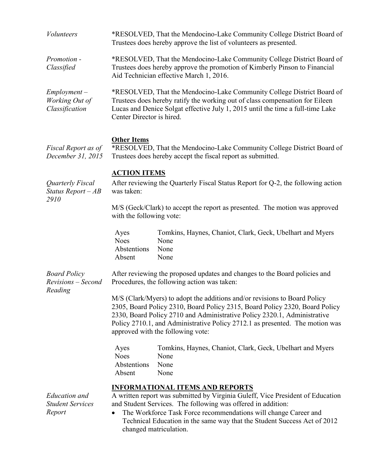| <i>Volunteers</i>                                         | *RESOLVED, That the Mendocino-Lake Community College District Board of<br>Trustees does hereby approve the list of volunteers as presented.                                                                                                                                                                                                                                    |  |  |
|-----------------------------------------------------------|--------------------------------------------------------------------------------------------------------------------------------------------------------------------------------------------------------------------------------------------------------------------------------------------------------------------------------------------------------------------------------|--|--|
| Promotion -<br>Classified                                 | *RESOLVED, That the Mendocino-Lake Community College District Board of<br>Trustees does hereby approve the promotion of Kimberly Pinson to Financial<br>Aid Technician effective March 1, 2016.                                                                                                                                                                                |  |  |
| $Employment -$<br>Working Out of<br>Classification        | *RESOLVED, That the Mendocino-Lake Community College District Board of<br>Trustees does hereby ratify the working out of class compensation for Eileen<br>Lucas and Denice Solgat effective July 1, 2015 until the time a full-time Lake<br>Center Director is hired.                                                                                                          |  |  |
| Fiscal Report as of<br>December 31, 2015                  | <b>Other Items</b><br>*RESOLVED, That the Mendocino-Lake Community College District Board of<br>Trustees does hereby accept the fiscal report as submitted.                                                                                                                                                                                                                    |  |  |
| Quarterly Fiscal<br>Status Report $-AB$<br>2910           | <b>ACTION ITEMS</b><br>After reviewing the Quarterly Fiscal Status Report for Q-2, the following action<br>was taken:                                                                                                                                                                                                                                                          |  |  |
|                                                           | M/S (Geck/Clark) to accept the report as presented. The motion was approved<br>with the following vote:                                                                                                                                                                                                                                                                        |  |  |
|                                                           | Tomkins, Haynes, Chaniot, Clark, Geck, Ubelhart and Myers<br>Ayes<br><b>Noes</b><br>None<br>Abstentions<br>None<br>Absent<br>None                                                                                                                                                                                                                                              |  |  |
| <b>Board Policy</b><br>Revisions - Second<br>Reading      | After reviewing the proposed updates and changes to the Board policies and<br>Procedures, the following action was taken:                                                                                                                                                                                                                                                      |  |  |
|                                                           | M/S (Clark/Myers) to adopt the additions and/or revisions to Board Policy<br>2305, Board Policy 2310, Board Policy 2315, Board Policy 2320, Board Policy<br>2330, Board Policy 2710 and Administrative Policy 2320.1, Administrative<br>Policy 2710.1, and Administrative Policy 2712.1 as presented. The motion was<br>approved with the following vote:                      |  |  |
|                                                           | Tomkins, Haynes, Chaniot, Clark, Geck, Ubelhart and Myers<br>Ayes<br><b>Noes</b><br>None<br>None<br>Abstentions<br>Absent<br>None                                                                                                                                                                                                                                              |  |  |
| <b>Education</b> and<br><b>Student Services</b><br>Report | <b>INFORMATIONAL ITEMS AND REPORTS</b><br>A written report was submitted by Virginia Guleff, Vice President of Education<br>and Student Services. The following was offered in addition:<br>The Workforce Task Force recommendations will change Career and<br>$\bullet$<br>Technical Education in the same way that the Student Success Act of 2012<br>changed matriculation. |  |  |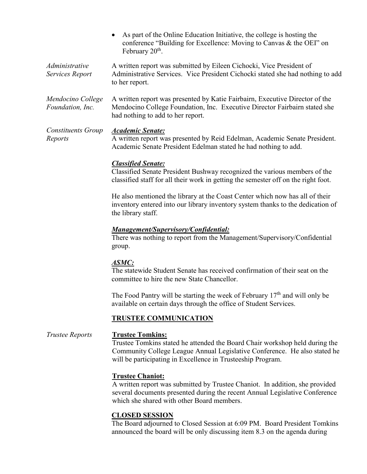- As part of the Online Education Initiative, the college is hosting the conference "Building for Excellence: Moving to Canvas & the OEI" on February 20<sup>th</sup>.
- *Administrative Services Report* A written report was submitted by Eileen Cichocki, Vice President of Administrative Services. Vice President Cichocki stated she had nothing to add to her report.
- *Mendocino College Foundation, Inc.* A written report was presented by Katie Fairbairn, Executive Director of the Mendocino College Foundation, Inc. Executive Director Fairbairn stated she had nothing to add to her report.

*Constituents Group Reports Academic Senate:* A written report was presented by Reid Edelman, Academic Senate President. Academic Senate President Edelman stated he had nothing to add.

## *Classified Senate:*

Classified Senate President Bushway recognized the various members of the classified staff for all their work in getting the semester off on the right foot.

He also mentioned the library at the Coast Center which now has all of their inventory entered into our library inventory system thanks to the dedication of the library staff.

#### *Management/Supervisory/Confidential:*

There was nothing to report from the Management/Supervisory/Confidential group.

#### *ASMC:*

The statewide Student Senate has received confirmation of their seat on the committee to hire the new State Chancellor.

The Food Pantry will be starting the week of February  $17<sup>th</sup>$  and will only be available on certain days through the office of Student Services.

#### **TRUSTEE COMMUNICATION**

*Trustee Reports* **Trustee Tomkins:** Trustee Tomkins stated he attended the Board Chair workshop held during the Community College League Annual Legislative Conference. He also stated he will be participating in Excellence in Trusteeship Program.

#### **Trustee Chaniot:**

A written report was submitted by Trustee Chaniot. In addition, she provided several documents presented during the recent Annual Legislative Conference which she shared with other Board members.

## **CLOSED SESSION**

The Board adjourned to Closed Session at 6:09 PM. Board President Tomkins announced the board will be only discussing item 8.3 on the agenda during